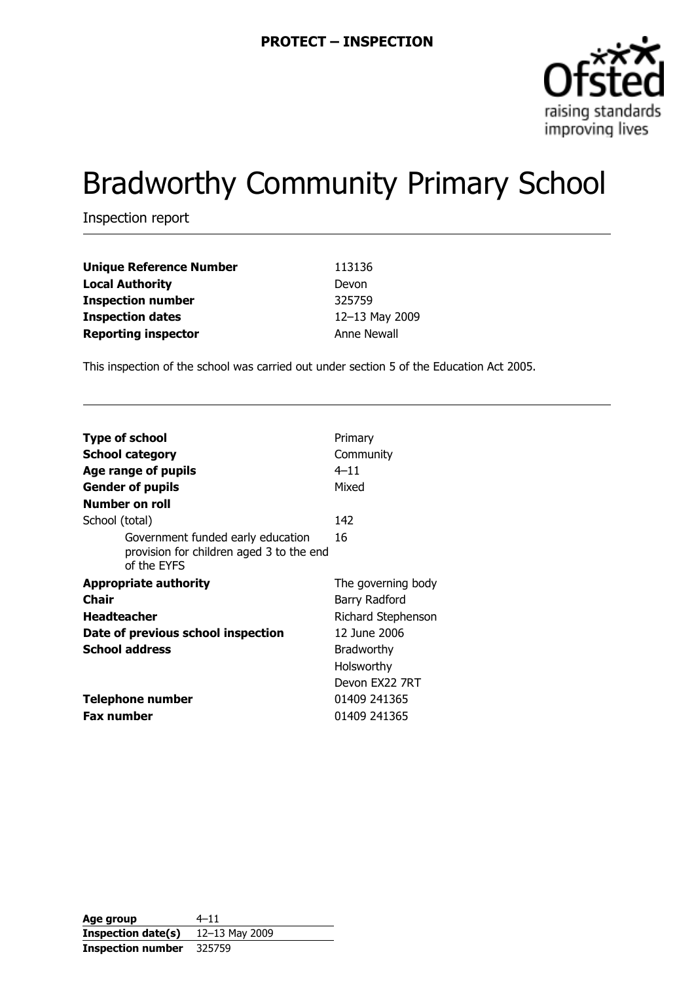

# Bradworthy Community Primary School

Inspection report

| <b>Unique Reference Number</b> | 113136         |
|--------------------------------|----------------|
| <b>Local Authority</b>         | Devon          |
| <b>Inspection number</b>       | 325759         |
| <b>Inspection dates</b>        | 12-13 May 2009 |
| <b>Reporting inspector</b>     | Anne Newall    |

This inspection of the school was carried out under section 5 of the Education Act 2005.

| <b>Type of school</b><br><b>School category</b><br>Age range of pupils                       | Primary<br>Community<br>$4 - 11$ |
|----------------------------------------------------------------------------------------------|----------------------------------|
| <b>Gender of pupils</b>                                                                      | Mixed                            |
| Number on roll                                                                               |                                  |
| School (total)                                                                               | 142                              |
| Government funded early education<br>provision for children aged 3 to the end<br>of the EYFS | 16                               |
| <b>Appropriate authority</b>                                                                 | The governing body               |
|                                                                                              |                                  |
| Chair                                                                                        | Barry Radford                    |
| <b>Headteacher</b>                                                                           | Richard Stephenson               |
| Date of previous school inspection                                                           | 12 June 2006                     |
| <b>School address</b>                                                                        | <b>Bradworthy</b>                |
|                                                                                              | Holsworthy                       |
|                                                                                              | Devon FX22 7RT                   |
| <b>Telephone number</b>                                                                      | 01409 241365                     |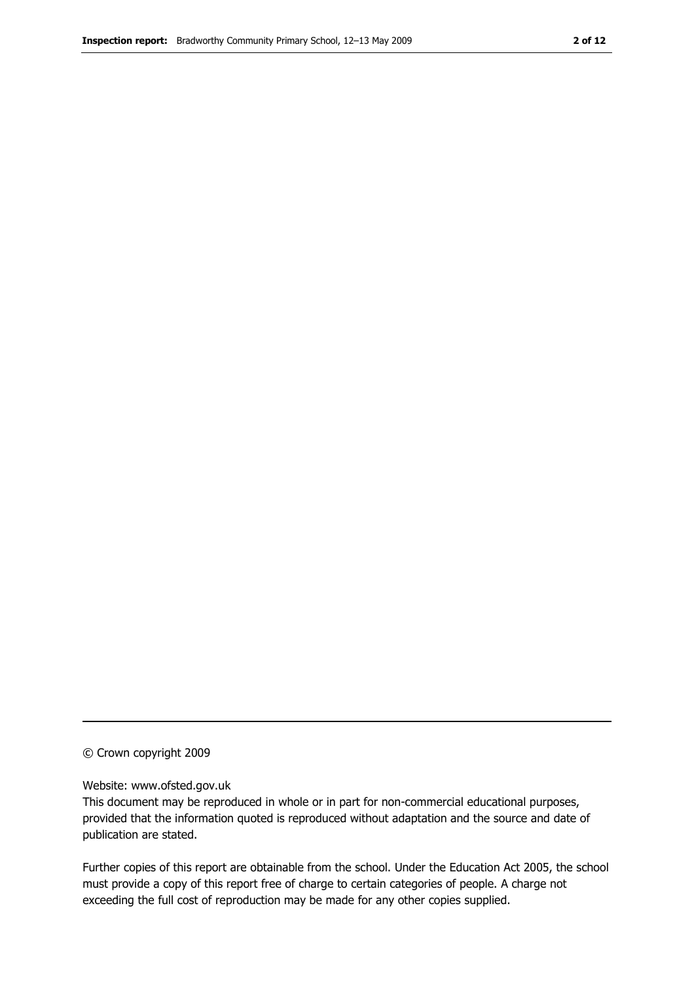#### © Crown copyright 2009

#### Website: www.ofsted.gov.uk

This document may be reproduced in whole or in part for non-commercial educational purposes, provided that the information quoted is reproduced without adaptation and the source and date of publication are stated.

Further copies of this report are obtainable from the school. Under the Education Act 2005, the school must provide a copy of this report free of charge to certain categories of people. A charge not exceeding the full cost of reproduction may be made for any other copies supplied.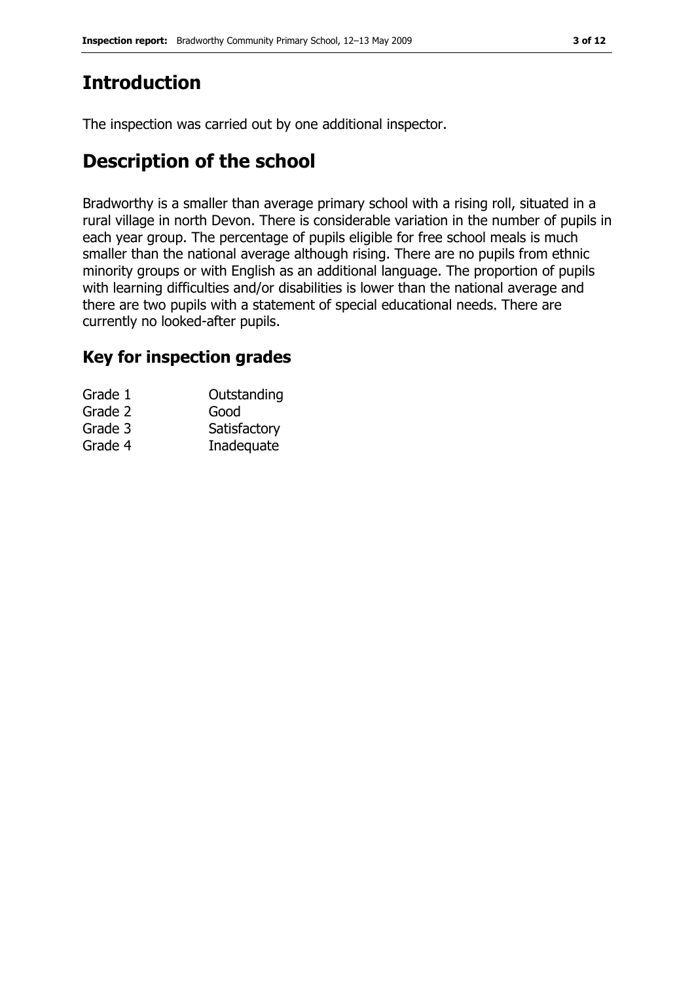# Introduction

The inspection was carried out by one additional inspector.

## Description of the school

Bradworthy is a smaller than average primary school with a rising roll, situated in a rural village in north Devon. There is considerable variation in the number of pupils in each year group. The percentage of pupils eligible for free school meals is much smaller than the national average although rising. There are no pupils from ethnic minority groups or with English as an additional language. The proportion of pupils with learning difficulties and/or disabilities is lower than the national average and there are two pupils with a statement of special educational needs. There are currently no looked-after pupils.

### Key for inspection grades

| Grade 1 | Outstanding  |
|---------|--------------|
| Grade 2 | Good         |
| Grade 3 | Satisfactory |
| Grade 4 | Inadequate   |
|         |              |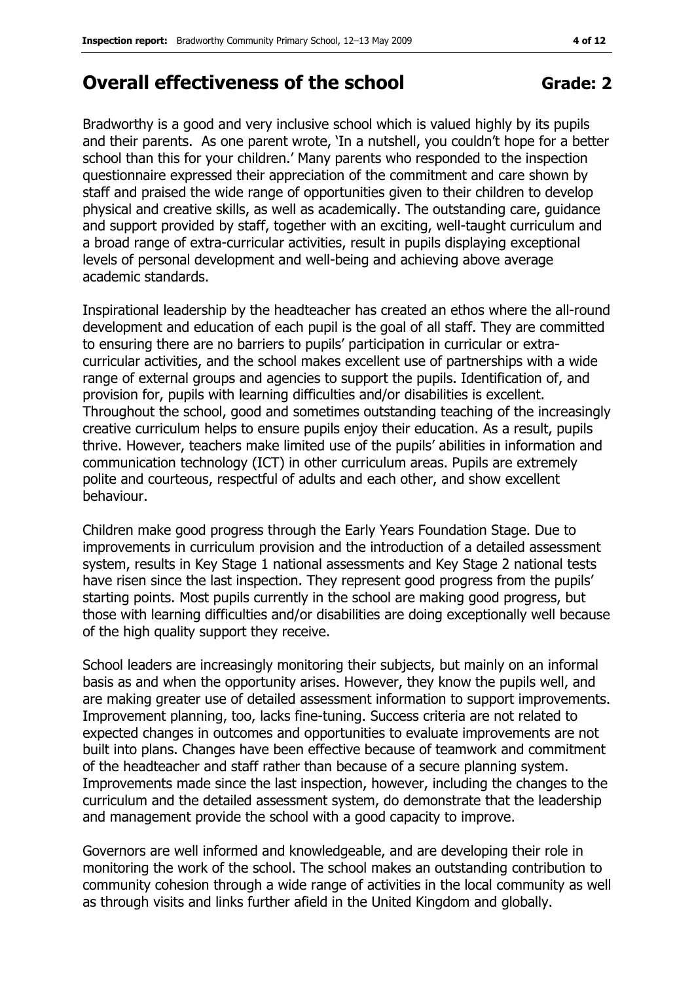### Overall effectiveness of the school Grade: 2

Bradworthy is a good and very inclusive school which is valued highly by its pupils and their parents. As one parent wrote, 'In a nutshell, you couldn't hope for a better school than this for your children.' Many parents who responded to the inspection questionnaire expressed their appreciation of the commitment and care shown by staff and praised the wide range of opportunities given to their children to develop physical and creative skills, as well as academically. The outstanding care, guidance and support provided by staff, together with an exciting, well-taught curriculum and a broad range of extra-curricular activities, result in pupils displaying exceptional levels of personal development and well-being and achieving above average academic standards.

Inspirational leadership by the headteacher has created an ethos where the all-round development and education of each pupil is the goal of all staff. They are committed to ensuring there are no barriers to pupils' participation in curricular or extracurricular activities, and the school makes excellent use of partnerships with a wide range of external groups and agencies to support the pupils. Identification of, and provision for, pupils with learning difficulties and/or disabilities is excellent. Throughout the school, good and sometimes outstanding teaching of the increasingly creative curriculum helps to ensure pupils enjoy their education. As a result, pupils thrive. However, teachers make limited use of the pupils' abilities in information and communication technology (ICT) in other curriculum areas. Pupils are extremely polite and courteous, respectful of adults and each other, and show excellent behaviour.

Children make good progress through the Early Years Foundation Stage. Due to improvements in curriculum provision and the introduction of a detailed assessment system, results in Key Stage 1 national assessments and Key Stage 2 national tests have risen since the last inspection. They represent good progress from the pupils' starting points. Most pupils currently in the school are making good progress, but those with learning difficulties and/or disabilities are doing exceptionally well because of the high quality support they receive.

School leaders are increasingly monitoring their subjects, but mainly on an informal basis as and when the opportunity arises. However, they know the pupils well, and are making greater use of detailed assessment information to support improvements. Improvement planning, too, lacks fine-tuning. Success criteria are not related to expected changes in outcomes and opportunities to evaluate improvements are not built into plans. Changes have been effective because of teamwork and commitment of the headteacher and staff rather than because of a secure planning system. Improvements made since the last inspection, however, including the changes to the curriculum and the detailed assessment system, do demonstrate that the leadership and management provide the school with a good capacity to improve.

Governors are well informed and knowledgeable, and are developing their role in monitoring the work of the school. The school makes an outstanding contribution to community cohesion through a wide range of activities in the local community as well as through visits and links further afield in the United Kingdom and globally.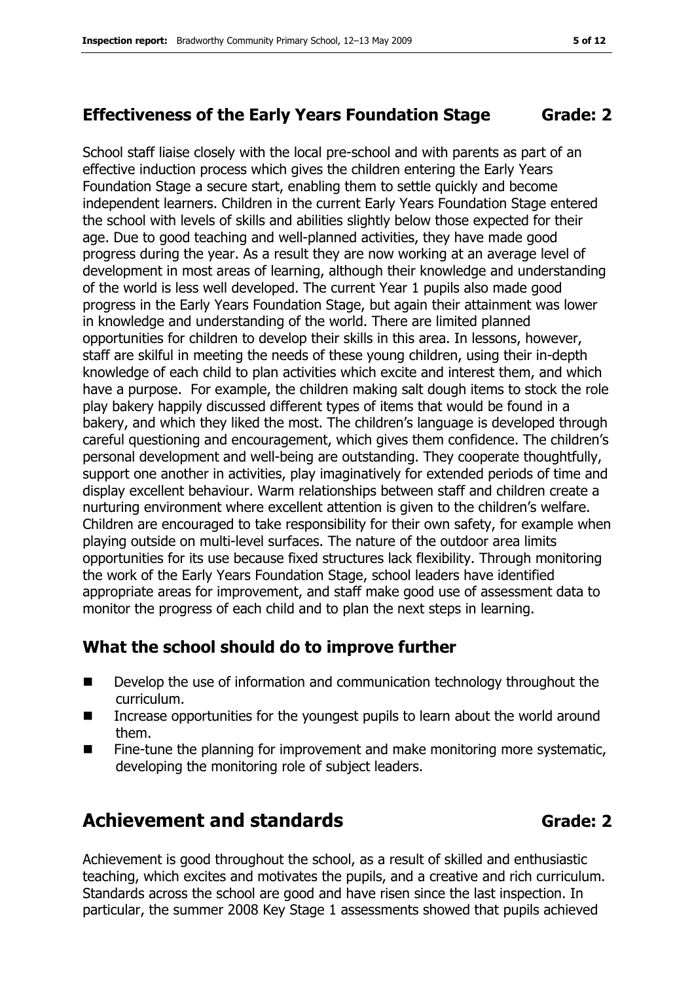School staff liaise closely with the local pre-school and with parents as part of an effective induction process which gives the children entering the Early Years Foundation Stage a secure start, enabling them to settle quickly and become independent learners. Children in the current Early Years Foundation Stage entered the school with levels of skills and abilities slightly below those expected for their age. Due to good teaching and well-planned activities, they have made good progress during the year. As a result they are now working at an average level of development in most areas of learning, although their knowledge and understanding of the world is less well developed. The current Year 1 pupils also made good progress in the Early Years Foundation Stage, but again their attainment was lower in knowledge and understanding of the world. There are limited planned opportunities for children to develop their skills in this area. In lessons, however, staff are skilful in meeting the needs of these young children, using their in-depth knowledge of each child to plan activities which excite and interest them, and which have a purpose. For example, the children making salt dough items to stock the role play bakery happily discussed different types of items that would be found in a bakery, and which they liked the most. The children's language is developed through careful questioning and encouragement, which gives them confidence. The children's personal development and well-being are outstanding. They cooperate thoughtfully, support one another in activities, play imaginatively for extended periods of time and display excellent behaviour. Warm relationships between staff and children create a nurturing environment where excellent attention is given to the children's welfare. Children are encouraged to take responsibility for their own safety, for example when playing outside on multi-level surfaces. The nature of the outdoor area limits opportunities for its use because fixed structures lack flexibility. Through monitoring the work of the Early Years Foundation Stage, school leaders have identified appropriate areas for improvement, and staff make good use of assessment data to monitor the progress of each child and to plan the next steps in learning.

#### What the school should do to improve further

- Develop the use of information and communication technology throughout the curriculum.
- **IFM** Increase opportunities for the youngest pupils to learn about the world around them.
- Fine-tune the planning for improvement and make monitoring more systematic, developing the monitoring role of subject leaders.

# Achievement and standards and standards and Grade: 2

Achievement is good throughout the school, as a result of skilled and enthusiastic teaching, which excites and motivates the pupils, and a creative and rich curriculum. Standards across the school are good and have risen since the last inspection. In particular, the summer 2008 Key Stage 1 assessments showed that pupils achieved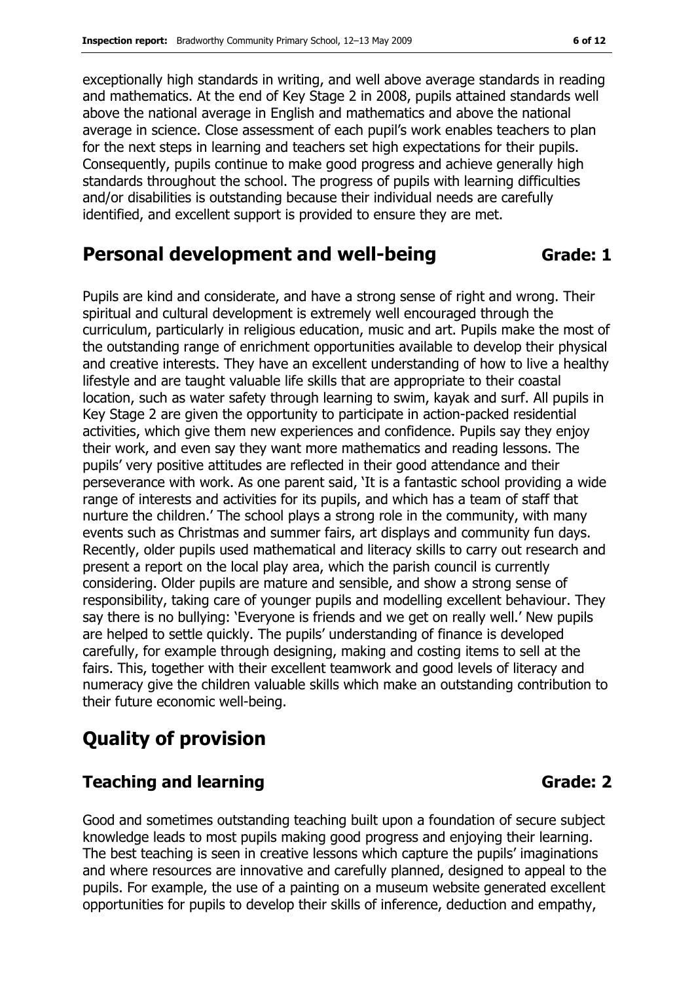exceptionally high standards in writing, and well above average standards in reading and mathematics. At the end of Key Stage 2 in 2008, pupils attained standards well above the national average in English and mathematics and above the national average in science. Close assessment of each pupil's work enables teachers to plan for the next steps in learning and teachers set high expectations for their pupils. Consequently, pupils continue to make good progress and achieve generally high standards throughout the school. The progress of pupils with learning difficulties and/or disabilities is outstanding because their individual needs are carefully identified, and excellent support is provided to ensure they are met.

#### Personal development and well-being Grade: 1

Pupils are kind and considerate, and have a strong sense of right and wrong. Their spiritual and cultural development is extremely well encouraged through the curriculum, particularly in religious education, music and art. Pupils make the most of the outstanding range of enrichment opportunities available to develop their physical and creative interests. They have an excellent understanding of how to live a healthy lifestyle and are taught valuable life skills that are appropriate to their coastal location, such as water safety through learning to swim, kayak and surf. All pupils in Key Stage 2 are given the opportunity to participate in action-packed residential activities, which give them new experiences and confidence. Pupils say they enjoy their work, and even say they want more mathematics and reading lessons. The pupils' very positive attitudes are reflected in their good attendance and their perseverance with work. As one parent said, 'It is a fantastic school providing a wide range of interests and activities for its pupils, and which has a team of staff that nurture the children.' The school plays a strong role in the community, with many events such as Christmas and summer fairs, art displays and community fun days. Recently, older pupils used mathematical and literacy skills to carry out research and present a report on the local play area, which the parish council is currently considering. Older pupils are mature and sensible, and show a strong sense of responsibility, taking care of younger pupils and modelling excellent behaviour. They say there is no bullying: 'Everyone is friends and we get on really well.' New pupils are helped to settle quickly. The pupils' understanding of finance is developed carefully, for example through designing, making and costing items to sell at the fairs. This, together with their excellent teamwork and good levels of literacy and numeracy give the children valuable skills which make an outstanding contribution to their future economic well-being.

### Quality of provision

#### Teaching and learning Grade: 2

Good and sometimes outstanding teaching built upon a foundation of secure subject knowledge leads to most pupils making good progress and enjoying their learning. The best teaching is seen in creative lessons which capture the pupils' imaginations and where resources are innovative and carefully planned, designed to appeal to the pupils. For example, the use of a painting on a museum website generated excellent opportunities for pupils to develop their skills of inference, deduction and empathy,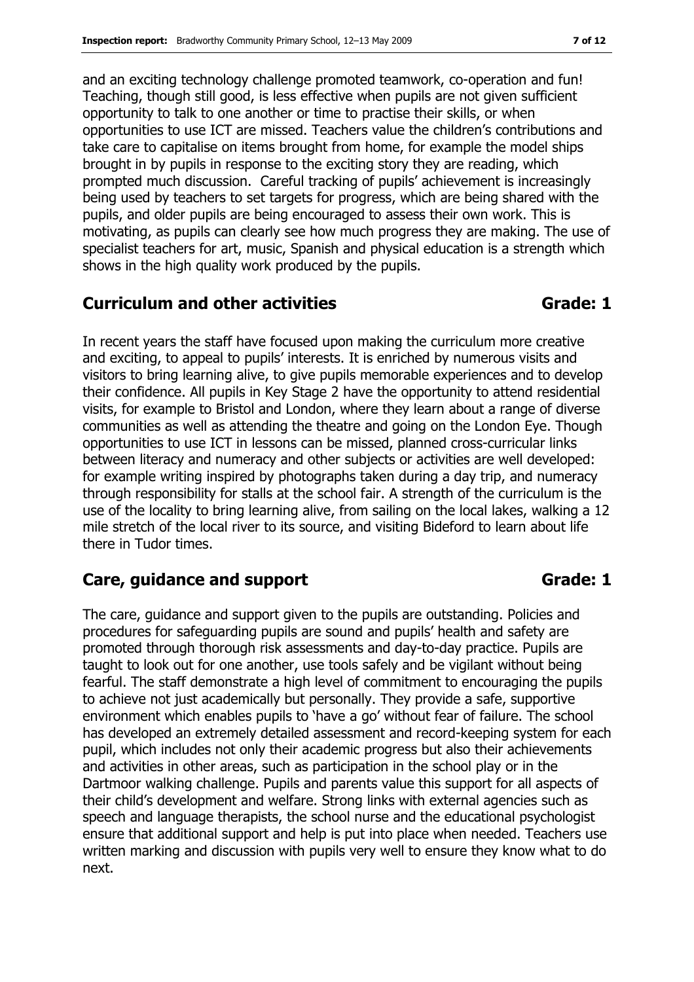and an exciting technology challenge promoted teamwork, co-operation and fun! Teaching, though still good, is less effective when pupils are not given sufficient opportunity to talk to one another or time to practise their skills, or when opportunities to use ICT are missed. Teachers value the children's contributions and take care to capitalise on items brought from home, for example the model ships brought in by pupils in response to the exciting story they are reading, which prompted much discussion. Careful tracking of pupils' achievement is increasingly being used by teachers to set targets for progress, which are being shared with the pupils, and older pupils are being encouraged to assess their own work. This is motivating, as pupils can clearly see how much progress they are making. The use of specialist teachers for art, music, Spanish and physical education is a strength which shows in the high quality work produced by the pupils.

#### Curriculum and other activities Curriculum and other activities

In recent years the staff have focused upon making the curriculum more creative and exciting, to appeal to pupils' interests. It is enriched by numerous visits and visitors to bring learning alive, to give pupils memorable experiences and to develop their confidence. All pupils in Key Stage 2 have the opportunity to attend residential visits, for example to Bristol and London, where they learn about a range of diverse communities as well as attending the theatre and going on the London Eye. Though opportunities to use ICT in lessons can be missed, planned cross-curricular links between literacy and numeracy and other subjects or activities are well developed: for example writing inspired by photographs taken during a day trip, and numeracy through responsibility for stalls at the school fair. A strength of the curriculum is the use of the locality to bring learning alive, from sailing on the local lakes, walking a 12 mile stretch of the local river to its source, and visiting Bideford to learn about life there in Tudor times.

#### Care, guidance and support Grade: 1

The care, guidance and support given to the pupils are outstanding. Policies and procedures for safeguarding pupils are sound and pupils' health and safety are promoted through thorough risk assessments and day-to-day practice. Pupils are taught to look out for one another, use tools safely and be vigilant without being fearful. The staff demonstrate a high level of commitment to encouraging the pupils to achieve not just academically but personally. They provide a safe, supportive environment which enables pupils to 'have a go' without fear of failure. The school has developed an extremely detailed assessment and record-keeping system for each pupil, which includes not only their academic progress but also their achievements and activities in other areas, such as participation in the school play or in the Dartmoor walking challenge. Pupils and parents value this support for all aspects of their child's development and welfare. Strong links with external agencies such as speech and language therapists, the school nurse and the educational psychologist ensure that additional support and help is put into place when needed. Teachers use written marking and discussion with pupils very well to ensure they know what to do next.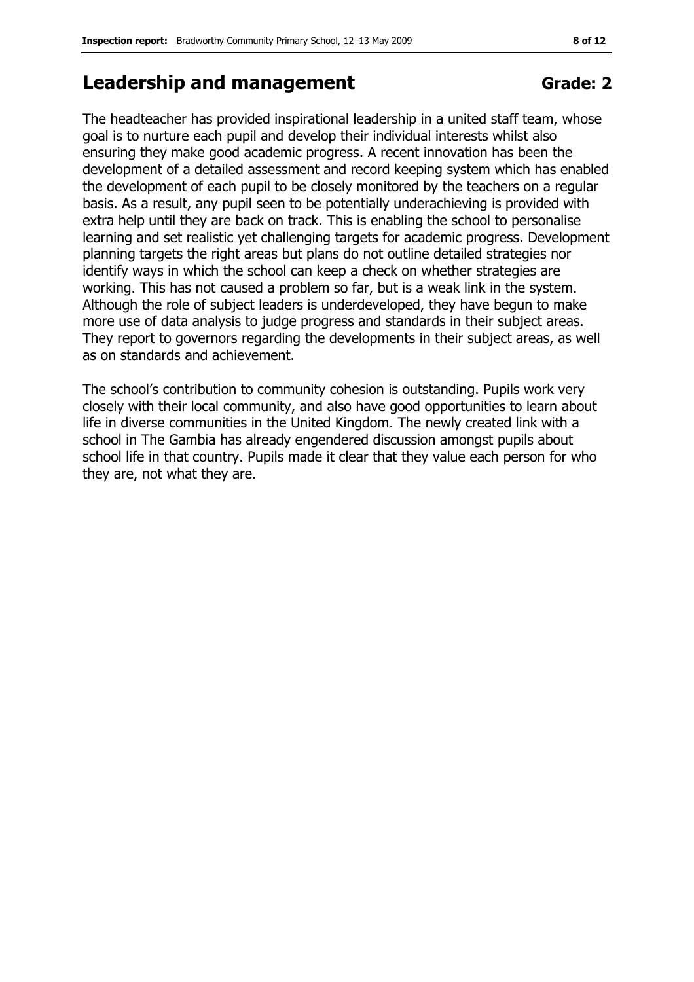## Leadership and management Contract Grade: 2

The headteacher has provided inspirational leadership in a united staff team, whose goal is to nurture each pupil and develop their individual interests whilst also ensuring they make good academic progress. A recent innovation has been the development of a detailed assessment and record keeping system which has enabled the development of each pupil to be closely monitored by the teachers on a regular basis. As a result, any pupil seen to be potentially underachieving is provided with extra help until they are back on track. This is enabling the school to personalise learning and set realistic yet challenging targets for academic progress. Development planning targets the right areas but plans do not outline detailed strategies nor identify ways in which the school can keep a check on whether strategies are working. This has not caused a problem so far, but is a weak link in the system. Although the role of subject leaders is underdeveloped, they have begun to make more use of data analysis to judge progress and standards in their subject areas. They report to governors regarding the developments in their subject areas, as well as on standards and achievement.

The school's contribution to community cohesion is outstanding. Pupils work very closely with their local community, and also have good opportunities to learn about life in diverse communities in the United Kingdom. The newly created link with a school in The Gambia has already engendered discussion amongst pupils about school life in that country. Pupils made it clear that they value each person for who they are, not what they are.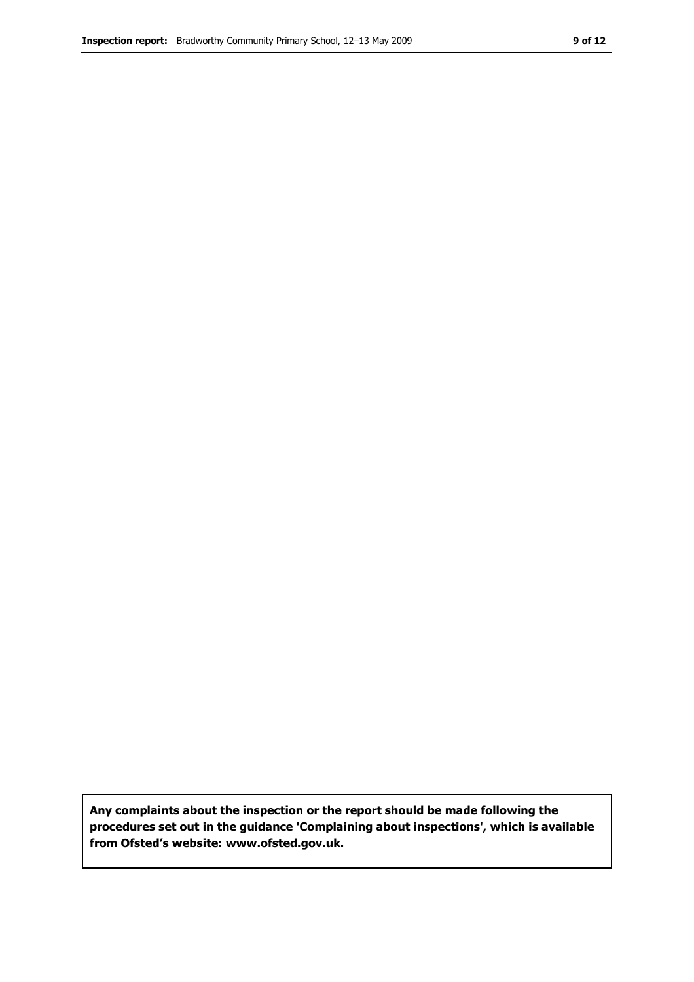Any complaints about the inspection or the report should be made following the procedures set out in the guidance 'Complaining about inspections', which is available from Ofsted's website: www.ofsted.gov.uk.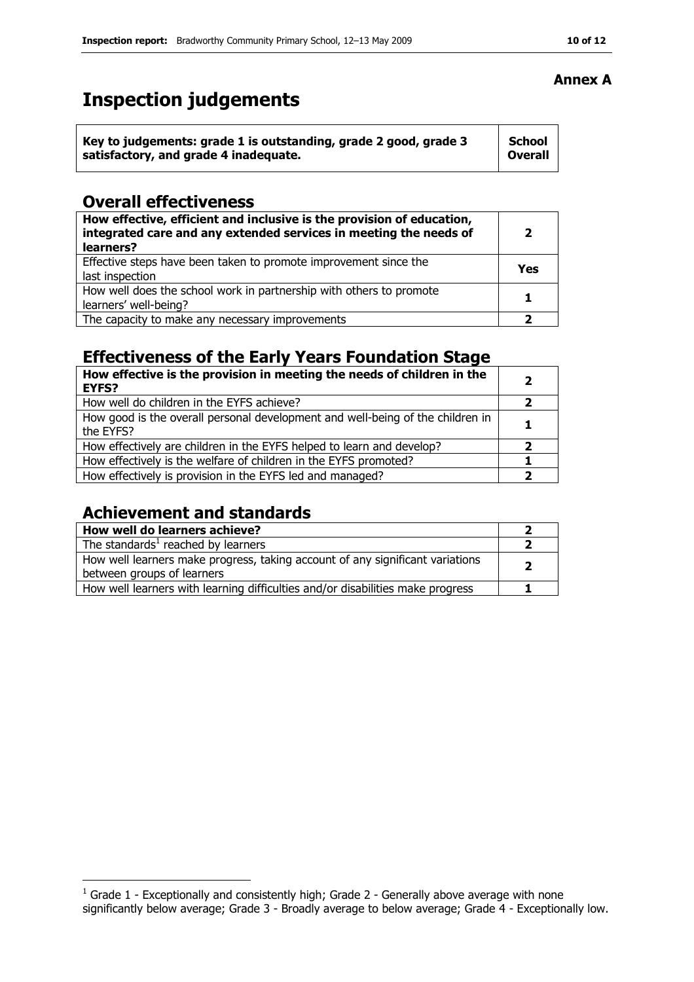# Inspection judgements

| Key to judgements: grade 1 is outstanding, grade 2 good, grade 3 | School         |
|------------------------------------------------------------------|----------------|
| satisfactory, and grade 4 inadequate.                            | <b>Overall</b> |

#### Overall effectiveness

| How effective, efficient and inclusive is the provision of education,<br>integrated care and any extended services in meeting the needs of<br>learners? | $\overline{2}$ |
|---------------------------------------------------------------------------------------------------------------------------------------------------------|----------------|
| Effective steps have been taken to promote improvement since the<br>last inspection                                                                     | Yes            |
| How well does the school work in partnership with others to promote<br>learners' well-being?                                                            |                |
| The capacity to make any necessary improvements                                                                                                         |                |

### Effectiveness of the Early Years Foundation Stage

| How effective is the provision in meeting the needs of children in the<br><b>EYFS?</b>      | $\mathbf{2}$ |
|---------------------------------------------------------------------------------------------|--------------|
| How well do children in the EYFS achieve?                                                   |              |
| How good is the overall personal development and well-being of the children in<br>the EYFS? | 1            |
| How effectively are children in the EYFS helped to learn and develop?                       | 2            |
| How effectively is the welfare of children in the EYFS promoted?                            |              |
| How effectively is provision in the EYFS led and managed?                                   | 2            |

### Achievement and standards

| How well do learners achieve?                                                                               |  |
|-------------------------------------------------------------------------------------------------------------|--|
| The standards <sup>1</sup> reached by learners                                                              |  |
| How well learners make progress, taking account of any significant variations<br>between groups of learners |  |
| How well learners with learning difficulties and/or disabilities make progress                              |  |

#### Annex A

 1 Grade 1 - Exceptionally and consistently high; Grade 2 - Generally above average with none significantly below average; Grade 3 - Broadly average to below average; Grade 4 - Exceptionally low.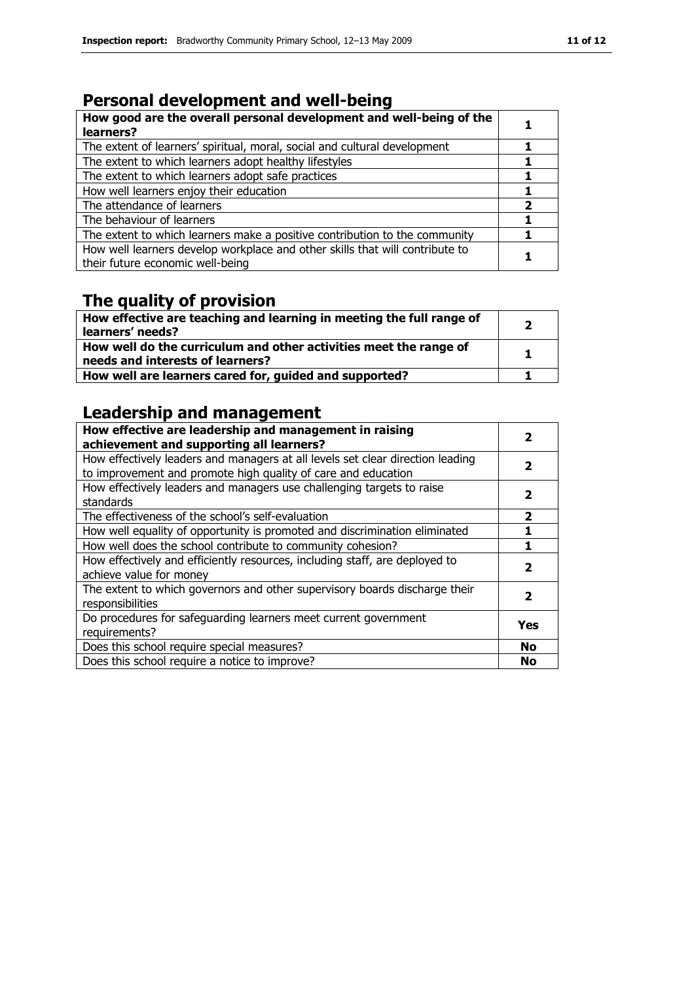# Personal development and well-being

| How good are the overall personal development and well-being of the<br>learners?                                 |   |
|------------------------------------------------------------------------------------------------------------------|---|
| The extent of learners' spiritual, moral, social and cultural development                                        |   |
| The extent to which learners adopt healthy lifestyles                                                            |   |
| The extent to which learners adopt safe practices                                                                |   |
| How well learners enjoy their education                                                                          |   |
| The attendance of learners                                                                                       | 2 |
| The behaviour of learners                                                                                        |   |
| The extent to which learners make a positive contribution to the community                                       |   |
| How well learners develop workplace and other skills that will contribute to<br>their future economic well-being |   |

#### The quality of provision

| How effective are teaching and learning in meeting the full range of<br>learners' needs?              | 2 |
|-------------------------------------------------------------------------------------------------------|---|
| How well do the curriculum and other activities meet the range of<br>needs and interests of learners? | 1 |
| How well are learners cared for, guided and supported?                                                |   |

### Leadership and management

| How effective are leadership and management in raising<br>achievement and supporting all learners?                                              | 2                       |
|-------------------------------------------------------------------------------------------------------------------------------------------------|-------------------------|
| How effectively leaders and managers at all levels set clear direction leading<br>to improvement and promote high quality of care and education | 2                       |
| How effectively leaders and managers use challenging targets to raise<br>standards                                                              | 2                       |
| The effectiveness of the school's self-evaluation                                                                                               | $\overline{\mathbf{2}}$ |
| How well equality of opportunity is promoted and discrimination eliminated                                                                      |                         |
| How well does the school contribute to community cohesion?                                                                                      |                         |
| How effectively and efficiently resources, including staff, are deployed to<br>achieve value for money                                          | 2                       |
| The extent to which governors and other supervisory boards discharge their<br>responsibilities                                                  | 2                       |
| Do procedures for safeguarding learners meet current government<br>requirements?                                                                | Yes                     |
| Does this school require special measures?                                                                                                      | <b>No</b>               |
| Does this school require a notice to improve?                                                                                                   | No                      |